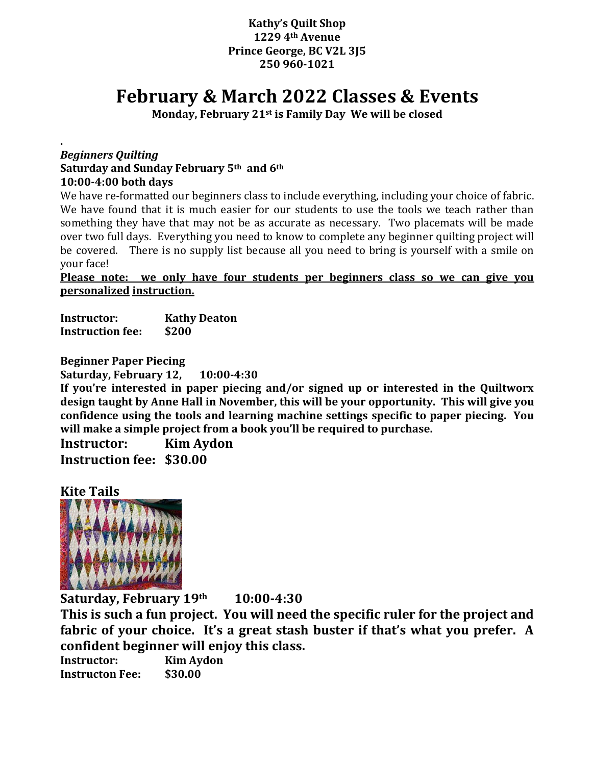## **Kathy's Quilt Shop 1229 4th Avenue Prince George, BC V2L 3J5 250 960-1021**

# **February & March 2022 Classes & Events**

**Monday, February 21st is Family Day We will be closed**

#### **.**  *Beginners Quilting* **Saturday and Sunday February 5th and 6th 10:00-4:00 both days**

We have re-formatted our beginners class to include everything, including your choice of fabric. We have found that it is much easier for our students to use the tools we teach rather than something they have that may not be as accurate as necessary. Two placemats will be made over two full days. Everything you need to know to complete any beginner quilting project will be covered. There is no supply list because all you need to bring is yourself with a smile on your face!

**Please note: we only have four students per beginners class so we can give you personalized instruction.**

**Instructor: Kathy Deaton Instruction fee: \$200**

**Beginner Paper Piecing**

**Saturday, February 12, 10:00-4:30**

**If you're interested in paper piecing and/or signed up or interested in the Quiltworx design taught by Anne Hall in November, this will be your opportunity. This will give you confidence using the tools and learning machine settings specific to paper piecing. You will make a simple project from a book you'll be required to purchase.**

**Instructor: Kim Aydon Instruction fee: \$30.00**

**Kite Tails**



**Saturday, February 19th 10:00-4:30**

**This is such a fun project. You will need the specific ruler for the project and fabric of your choice. It's a great stash buster if that's what you prefer. A confident beginner will enjoy this class.**

**Instructor: Kim Aydon Instructon Fee: \$30.00**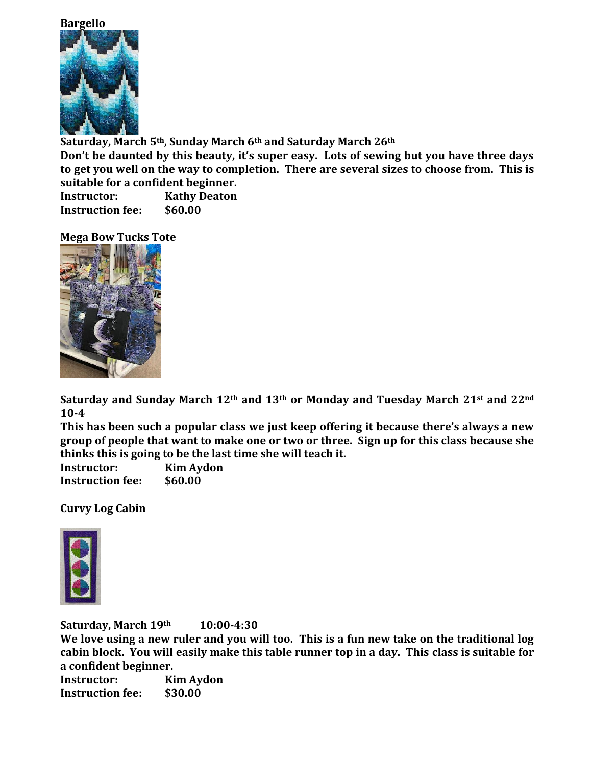#### **Bargello**



**Saturday, March 5th, Sunday March 6th and Saturday March 26th**

**Don't be daunted by this beauty, it's super easy. Lots of sewing but you have three days to get you well on the way to completion. There are several sizes to choose from. This is suitable for a confident beginner.**

**Instructor: Kathy Deaton Instruction fee: \$60.00**

**Mega Bow Tucks Tote**



**Saturday and Sunday March 12th and 13th or Monday and Tuesday March 21st and 22nd 10-4**

**This has been such a popular class we just keep offering it because there's always a new group of people that want to make one or two or three. Sign up for this class because she thinks this is going to be the last time she will teach it.** 

**Instructor: Kim Aydon Instruction fee: \$60.00**

**Curvy Log Cabin**



**Saturday, March 19th 10:00-4:30**

**We love using a new ruler and you will too. This is a fun new take on the traditional log cabin block. You will easily make this table runner top in a day. This class is suitable for a confident beginner.**

**Instructor: Kim Aydon Instruction fee: \$30.00**